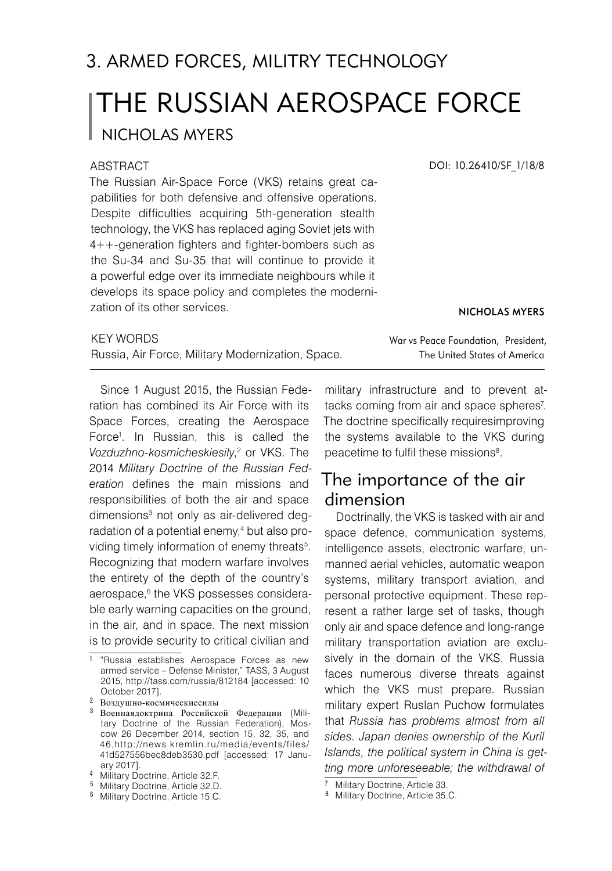# THE RUSSIAN AEROSPACE FORCE Nicholas Myers 3. ARMED FORCES, MILITRY TECHNOLOGY

#### ABSTRACT

The Russian Air-Space Force (VKS) retains great capabilities for both defensive and offensive operations. Despite difficulties acquiring 5th-generation stealth technology, the VKS has replaced aging Soviet jets with 4++-generation fighters and fighter-bombers such as the Su-34 and Su-35 that will continue to provide it a powerful edge over its immediate neighbours while it develops its space policy and completes the modernization of its other services.

DOI: 10.26410/SF\_1/18/8

Nicholas Myers

| <b>KEY WORDS</b>                                  | War vs Peace Foundation, President, |
|---------------------------------------------------|-------------------------------------|
| Russia, Air Force, Military Modernization, Space. | The United States of America        |

Since 1 August 2015, the Russian Federation has combined its Air Force with its Space Forces, creating the Aerospace Force<sup>1</sup>. In Russian, this is called the Vozduzhno-kosmicheskiesily,<sup>2</sup> or VKS. The 2014 *Military Doctrine of the Russian Federation* defines the main missions and responsibilities of both the air and space dimensions<sup>3</sup> not only as air-delivered deqradation of a potential enemy,<sup>4</sup> but also providing timely information of enemy threats<sup>5</sup>. Recognizing that modern warfare involves the entirety of the depth of the country's aerospace, the VKS possesses considerable early warning capacities on the ground, in the air, and in space. The next mission is to provide security to critical civilian and

military infrastructure and to prevent attacks coming from air and space spheres<sup>7</sup>. The doctrine specifically requiresimproving the systems available to the VKS during peacetime to fulfil these missions<sup>8</sup>.

## The importance of the air dimension

Doctrinally, the VKS is tasked with air and space defence, communication systems, intelligence assets, electronic warfare, unmanned aerial vehicles, automatic weapon systems, military transport aviation, and personal protective equipment. These represent a rather large set of tasks, though only air and space defence and long-range military transportation aviation are exclusively in the domain of the VKS. Russia faces numerous diverse threats against which the VKS must prepare. Russian military expert Ruslan Puchow formulates that *Russia has problems almost from all sides. Japan denies ownership of the Kuril Islands, the political system in China is getting more unforeseeable; the withdrawal of* 

<sup>&</sup>lt;sup>1</sup> "Russia establishes Aerospace Forces as new armed service – Defense Minister," TASS, 3 August 2015, http://tass.com/russia/812184 [accessed: 10 October 2017].

Воздушно-космическиесилы

Военнаядоктрина Российской Федерации (Military Doctrine of the Russian Federation), Moscow 26 December 2014, section 15, 32, 35, and 46,http://news.kremlin.ru/media/events/files/ 41d527556bec8deb3530.pdf [accessed: 17 January 2017].

<sup>&</sup>lt;sup>4</sup> Military Doctrine, Article 32.F.

Military Doctrine, Article 32.D.

<sup>6</sup> Military Doctrine, Article 15.C.

<sup>&</sup>lt;sup>7</sup> Military Doctrine, Article 33.

<sup>8</sup> Military Doctrine, Article 35.C.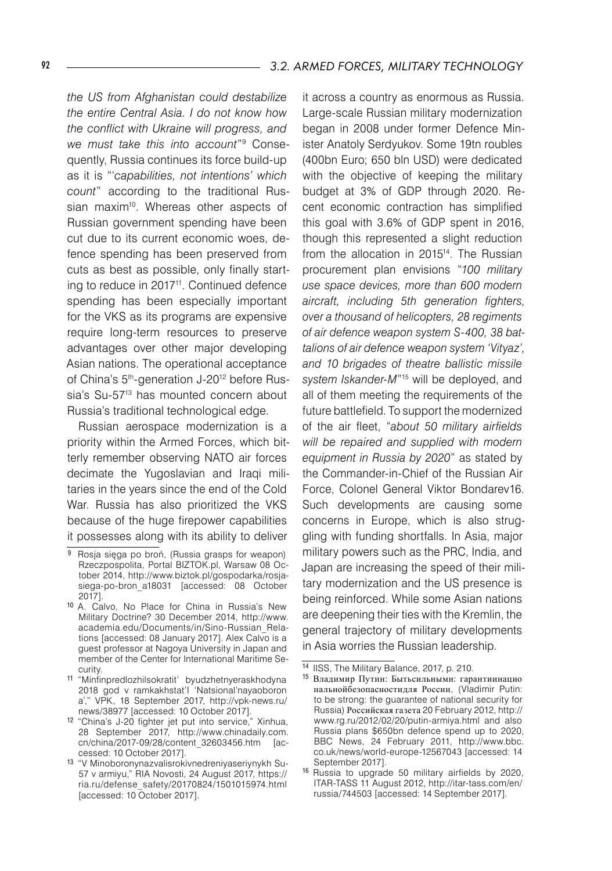*the US from Afghanistan could destabilize the entire Central Asia. I do not know how the conflict with Ukraine will progress, and we must take this into account*" Consequently, Russia continues its force build-up as it is "'*capabilities, not intentions' which count*" according to the traditional Russian maxim<sup>10</sup>. Whereas other aspects of Russian government spending have been cut due to its current economic woes, defence spending has been preserved from cuts as best as possible, only finally starting to reduce in 2017<sup>11</sup>. Continued defence spending has been especially important for the VKS as its programs are expensive require long-term resources to preserve advantages over other major developing Asian nations. The operational acceptance of China's 5<sup>th</sup>-generation J-20<sup>12</sup> before Russia's Su-57<sup>13</sup> has mounted concern about Russia's traditional technological edge.

Russian aerospace modernization is a priority within the Armed Forces, which bitterly remember observing NATO air forces decimate the Yugoslavian and Iraqi militaries in the years since the end of the Cold War. Russia has also prioritized the VKS because of the huge firepower capabilities it possesses along with its ability to deliver

it across a country as enormous as Russia. Large-scale Russian military modernization began in 2008 under former Defence Minister Anatoly Serdyukov. Some 19tn roubles (400bn Euro; 650 bln USD) were dedicated with the objective of keeping the military budget at 3% of GDP through 2020. Recent economic contraction has simplified this goal with 3.6% of GDP spent in 2016, though this represented a slight reduction from the allocation in 2015<sup>14</sup>. The Russian procurement plan envisions "*100 military use space devices, more than 600 modern aircraft, including 5th generation fighters, over a thousand of helicopters, 28 regiments of air defence weapon system S-400, 38 battalions of air defence weapon system 'Vityaz', and 10 brigades of theatre ballistic missile system Iskander-M*"15 will be deployed, and all of them meeting the requirements of the future battlefield. To support the modernized of the air fleet, "*about 50 military airfields will be repaired and supplied with modern equipment in Russia by 2020*" as stated by the Commander-in-Chief of the Russian Air Force, Colonel General Viktor Bondarev16. Such developments are causing some concerns in Europe, which is also struggling with funding shortfalls. In Asia, major military powers such as the PRC, India, and Japan are increasing the speed of their military modernization and the US presence is being reinforced. While some Asian nations are deepening their ties with the Kremlin, the general trajectory of military developments in Asia worries the Russian leadership.

<sup>&</sup>lt;sup>9</sup> Rosja sięga po broń, (Russia grasps for weapon) Rzeczpospolita, Portal BIZTOK.pl, Warsaw 08 October 2014, http://www.biztok.pl/gospodarka/rosjasiega-po-bron\_a18031 [accessed: 08 October 2017].

<sup>10</sup> A. Calvo, No Place for China in Russia's New Military Doctrine? 30 December 2014, http://www. academia.edu/Documents/in/Sino-Russian\_Relations [accessed: 08 January 2017]. Alex Calvo is a guest professor at Nagoya University in Japan and member of the Center for International Maritime Security.

<sup>11</sup> "Minfinpredlozhilsokratit' byudzhetnyeraskhodyna 2018 god v ramkakhstat'I 'Natsional'nayaoboron a'," VPK, 18 September 2017, http://vpk-news.ru/ news/38977 [accessed: 10 October 2017].

<sup>&</sup>lt;sup>12</sup> "China's J-20 fighter jet put into service," Xinhua, 28 September 2017, http://www.chinadaily.com. cn/china/2017-09/28/content\_32603456.htm [accessed: 10 October 2017].

<sup>13</sup> "V Minoboronynazvalisrokivnedreniyaseriynykh Su-57 v armiyu," RIA Novosti, 24 August 2017, https:// ria.ru/defense\_safety/20170824/1501015974.html [accessed: 10 October 2017].

<sup>14</sup> IISS, The Military Balance, 2017, p. 210.

<sup>15</sup> Владимир Путин: Бытьсильными: гарантиинацио нальнойбезопасностидля России, (Vladimir Putin: to be strong: the guarantee of national security for Russia) Российская газета 20 February 2012, http:// www.rg.ru/2012/02/20/putin-armiya.html and also Russia plans \$650bn defence spend up to 2020, BBC News, 24 February 2011, http://www.bbc. co.uk/news/world-europe-12567043 [accessed: 14 September 2017].

<sup>16</sup> Russia to upgrade 50 military airfields by 2020, ITAR-TASS 11 August 2012, http://itar-tass.com/en/ russia/744503 [accessed: 14 September 2017].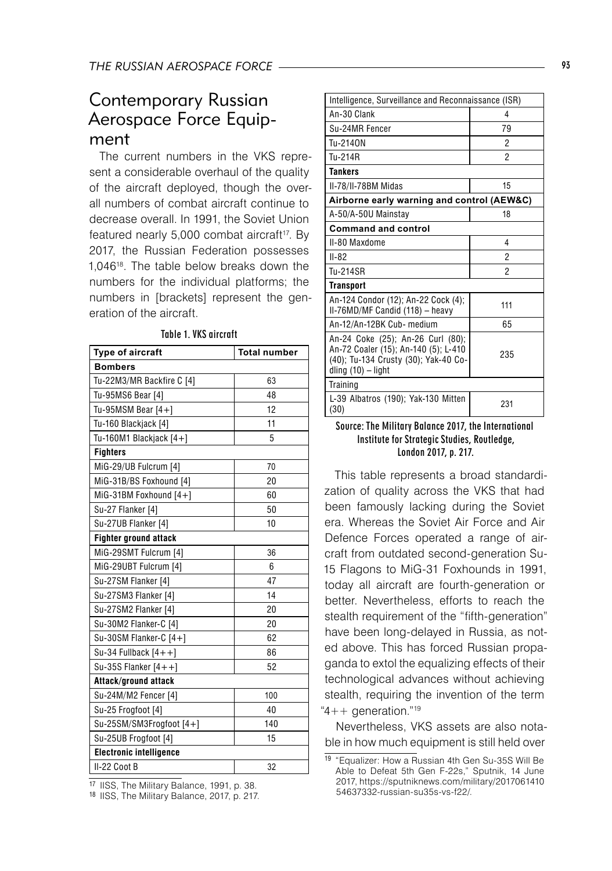## Contemporary Russian Aerospace Force Equipment

The current numbers in the VKS represent a considerable overhaul of the quality of the aircraft deployed, though the overall numbers of combat aircraft continue to decrease overall. In 1991, the Soviet Union featured nearly 5,000 combat aircraft<sup>17</sup>. By 2017, the Russian Federation possesses 1,04618. The table below breaks down the numbers for the individual platforms; the numbers in [brackets] represent the generation of the aircraft.

| Type of aircraft               | <b>Total number</b> |  |
|--------------------------------|---------------------|--|
| <b>Bombers</b>                 |                     |  |
| Tu-22M3/MR Backfire C [4]      | 63                  |  |
| Tu-95MS6 Bear [4]              | 48                  |  |
| Tu-95MSM Bear $[4+]$           | 12                  |  |
| Tu-160 Blackjack [4]           | 11                  |  |
| Tu-160M1 Blackjack [4+]        | 5                   |  |
| <b>Fighters</b>                |                     |  |
| MiG-29/UB Fulcrum [4]          | 70                  |  |
| MiG-31B/BS Foxhound [4]        | 20                  |  |
| MiG-31BM Foxhound $[4+]$       | 60                  |  |
| Su-27 Flanker [4]              | 50                  |  |
| Su-27UB Flanker [4]            | 10                  |  |
| <b>Fighter ground attack</b>   |                     |  |
| MiG-29SMT Fulcrum [4]          | 36                  |  |
| MiG-29UBT Fulcrum [4]          | 6                   |  |
| Su-27SM Flanker [4]            | 47                  |  |
| Su-27SM3 Flanker [4]           | 14                  |  |
| Su-27SM2 Flanker [4]           | 20                  |  |
| Su-30M2 Flanker-C [4]          | 20                  |  |
| Su-30SM Flanker-C $[4+]$       | 62                  |  |
| Su-34 Fullback $[4 + +]$       | 86                  |  |
| Su-35S Flanker $[4 + +]$       | 52                  |  |
| Attack/ground attack           |                     |  |
| Su-24M/M2 Fencer [4]           | 100                 |  |
| Su-25 Frogfoot [4]             | 40                  |  |
| Su-25SM/SM3Frogfoot [4+]       | 140                 |  |
| Su-25UB Frogfoot [4]           | 15                  |  |
| <b>Electronic intelligence</b> |                     |  |
| II-22 Coot B                   | 32                  |  |

Table 1. VKS aircraft

<sup>17</sup> IISS, The Military Balance, 1991, p. 38.

<sup>18</sup> IISS, The Military Balance, 2017, p. 217.

| Intelligence, Surveillance and Reconnaissance (ISR)                                                                                       |                |  |
|-------------------------------------------------------------------------------------------------------------------------------------------|----------------|--|
| An-30 Clank                                                                                                                               | 4              |  |
| Su-24MR Fencer                                                                                                                            | 79             |  |
| Tu-2140N                                                                                                                                  | $\overline{2}$ |  |
| Tu-214R                                                                                                                                   | 2              |  |
| <b>Tankers</b>                                                                                                                            |                |  |
| II-78/II-78BM Midas                                                                                                                       | 15             |  |
| Airborne early warning and control (AEW&C)                                                                                                |                |  |
| A-50/A-50U Mainstav                                                                                                                       | 18             |  |
| <b>Command and control</b>                                                                                                                |                |  |
| II-80 Maxdome                                                                                                                             | 4              |  |
| $II - 82$                                                                                                                                 | 2              |  |
| Tu-214SR                                                                                                                                  | 2              |  |
| <b>Transport</b>                                                                                                                          |                |  |
| An-124 Condor (12); An-22 Cock (4);<br>II-76MD/MF Candid (118) - heavy                                                                    | 111            |  |
| An-12/An-12BK Cub- medium                                                                                                                 | 65             |  |
| An-24 Coke (25); An-26 Curl (80);<br>An-72 Coaler (15); An-140 (5); L-410<br>(40); Tu-134 Crusty (30); Yak-40 Co-<br>dling $(10)$ – light | 235            |  |
| Training                                                                                                                                  |                |  |
| L-39 Albatros (190); Yak-130 Mitten<br>(30)                                                                                               | 231            |  |

#### Source: The Military Balance 2017, the International Institute for Strategic Studies, Routledge, London 2017, p. 217.

This table represents a broad standardization of quality across the VKS that had been famously lacking during the Soviet era. Whereas the Soviet Air Force and Air Defence Forces operated a range of aircraft from outdated second-generation Su-15 Flagons to MiG-31 Foxhounds in 1991, today all aircraft are fourth-generation or better. Nevertheless, efforts to reach the stealth requirement of the "fifth-generation" have been long-delayed in Russia, as noted above. This has forced Russian propaganda to extol the equalizing effects of their technological advances without achieving stealth, requiring the invention of the term " $4++$  generation."<sup>19</sup>

Nevertheless, VKS assets are also notable in how much equipment is still held over

<sup>19</sup> "Equalizer: How a Russian 4th Gen Su-35S Will Be Able to Defeat 5th Gen F-22s," Sputnik, 14 June 2017, https://sputniknews.com/military/2017061410 54637332-russian-su35s-vs-f22/.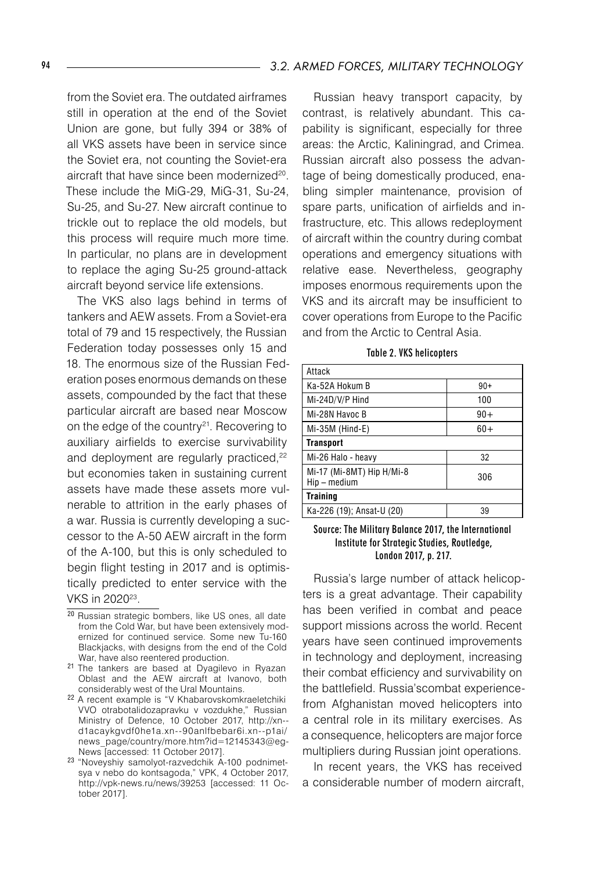from the Soviet era. The outdated airframes still in operation at the end of the Soviet Union are gone, but fully 394 or 38% of all VKS assets have been in service since the Soviet era, not counting the Soviet-era aircraft that have since been modernized<sup>20</sup>. These include the MiG-29, MiG-31, Su-24, Su-25, and Su-27. New aircraft continue to trickle out to replace the old models, but this process will require much more time. In particular, no plans are in development to replace the aging Su-25 ground-attack aircraft beyond service life extensions.

The VKS also lags behind in terms of tankers and AEW assets. From a Soviet-era total of 79 and 15 respectively, the Russian Federation today possesses only 15 and 18. The enormous size of the Russian Federation poses enormous demands on these assets, compounded by the fact that these particular aircraft are based near Moscow on the edge of the country<sup>21</sup>. Recovering to auxiliary airfields to exercise survivability and deployment are regularly practiced,<sup>22</sup> but economies taken in sustaining current assets have made these assets more vulnerable to attrition in the early phases of a war. Russia is currently developing a successor to the A-50 AEW aircraft in the form of the A-100, but this is only scheduled to begin flight testing in 2017 and is optimistically predicted to enter service with the VKS in 2020<sup>23</sup>.

Russian heavy transport capacity, by contrast, is relatively abundant. This capability is significant, especially for three areas: the Arctic, Kaliningrad, and Crimea. Russian aircraft also possess the advantage of being domestically produced, enabling simpler maintenance, provision of spare parts, unification of airfields and infrastructure, etc. This allows redeployment of aircraft within the country during combat operations and emergency situations with relative ease. Nevertheless, geography imposes enormous requirements upon the VKS and its aircraft may be insufficient to cover operations from Europe to the Pacific and from the Arctic to Central Asia.

| Attack                                    |       |  |
|-------------------------------------------|-------|--|
| Ka-52A Hokum B                            | $90+$ |  |
| Mi-24D/V/P Hind                           | 100   |  |
| Mi-28N Havoc B                            | $90+$ |  |
| Mi-35M (Hind-E)                           | $60+$ |  |
| <b>Transport</b>                          |       |  |
| Mi-26 Halo - heavy                        | 32    |  |
| Mi-17 (Mi-8MT) Hip H/Mi-8<br>Hip - medium | 306   |  |
| Training                                  |       |  |
| Ka-226 (19); Ansat-U (20)                 | 39    |  |

Table 2. VKS helicopters

#### Source: The Military Balance 2017, the International Institute for Strategic Studies, Routledge, London 2017, p. 217.

Russia's large number of attack helicopters is a great advantage. Their capability has been verified in combat and peace support missions across the world. Recent years have seen continued improvements in technology and deployment, increasing their combat efficiency and survivability on the battlefield. Russia'scombat experiencefrom Afghanistan moved helicopters into a central role in its military exercises. As a consequence, helicopters are major force multipliers during Russian joint operations.

In recent years, the VKS has received a considerable number of modern aircraft,

<sup>20</sup> Russian strategic bombers, like US ones, all date from the Cold War, but have been extensively modernized for continued service. Some new Tu-160 Blackjacks, with designs from the end of the Cold War, have also reentered production.

<sup>21</sup> The tankers are based at Dyagilevo in Ryazan Oblast and the AEW aircraft at Ivanovo, both considerably west of the Ural Mountains.

<sup>22</sup> A recent example is "V Khabarovskomkraeletchiki VVO otrabotalidozapravku v vozdukhe," Russian Ministry of Defence, 10 October 2017, http://xn- d1acaykgvdf0he1a.xn--90anlfbebar6i.xn--p1ai/ news\_page/country/more.htm?id=12145343@eg-News [accessed: 11 October 2017].

<sup>23</sup> "Noveyshiy samolyot-razvedchik A-100 podnimetsya v nebo do kontsagoda," VPK, 4 October 2017, http://vpk-news.ru/news/39253 [accessed: 11 October 2017].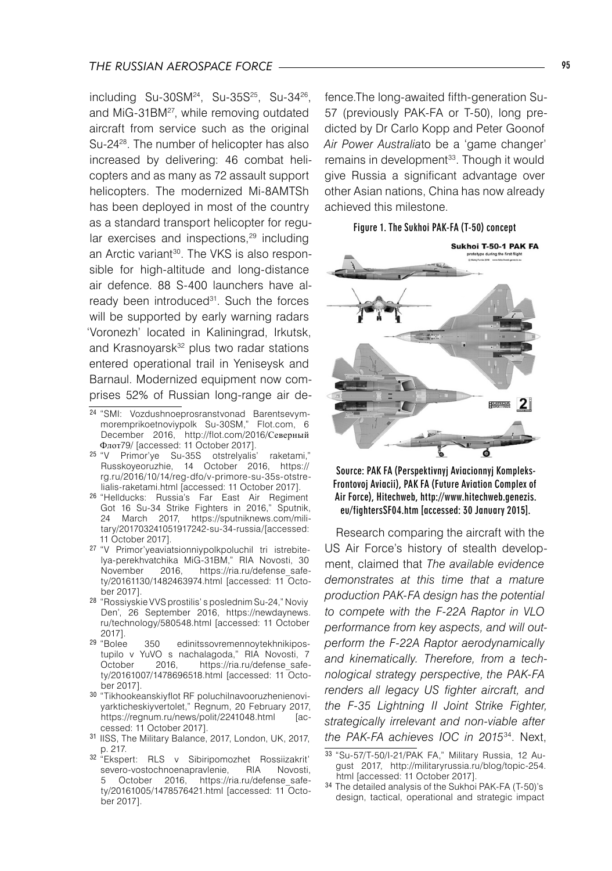#### *THE RUSSIAN AEROSPACE FORCE* 95

 $including$  Su-30SM<sup>24</sup>, Su-35S<sup>25</sup>, Su-34<sup>26</sup>, and MiG-31BM<sup>27</sup>, while removing outdated aircraft from service such as the original Su-24<sup>28</sup>. The number of helicopter has also increased by delivering: 46 combat helicopters and as many as 72 assault support helicopters. The modernized Mi-8AMTSh has been deployed in most of the country as a standard transport helicopter for regular exercises and inspections,<sup>29</sup> including an Arctic variant<sup>30</sup>. The VKS is also responsible for high-altitude and long-distance air defence. 88 S-400 launchers have already been introduced<sup>31</sup>. Such the forces will be supported by early warning radars 'Voronezh' located in Kaliningrad, Irkutsk, and Krasnoyarsk<sup>32</sup> plus two radar stations entered operational trail in Yeniseysk and Barnaul. Modernized equipment now comprises 52% of Russian long-range air de-

- <sup>26</sup> "Hellducks: Russia's Far East Air Regiment Got 16 Su-34 Strike Fighters in 2016," Sputnik, 24 March 2017, https://sputniknews.com/military/201703241051917242-su-34-russia/[accessed: 11 October 2017].
- <sup>27</sup> "V Primor'yeaviatsionniypolkpoluchil tri istrebitelya-perekhvatchika MiG-31BM," RIA Novosti, 30 November 2016, https://ria.ru/defense\_safety/20161130/1482463974.html [accessed: 11 October 2017].
- <sup>28</sup> "Rossiyskie VVS prostilis' s poslednim Su-24," Noviy Den', 26 September 2016, https://newdaynews. ru/technology/580548.html [accessed: 11 October 2017].<br><sup>29</sup> "Bolee
- 350 edinitssovremennoytekhnikipostupilo v YuVO s nachalagoda," RIÁ Novosti, 7<br>October 2016, https://ria.ru/defense safehttps://ria.ru/defense\_safety/20161007/1478696518.html [accessed: 11 October 2017].
- <sup>30</sup> "Tikhookeanskiyflot RF poluchilnavooruzhenienoviyarkticheskiyvertolet," Regnum, 20 February 2017, https://regnum.ru/news/polit/2241048.html cessed: 11 October 2017].
- <sup>31</sup> IISS, The Military Balance, 2017, London, UK, 2017,
- p. 217.<br><sup>32</sup> "Ekspert: RLS v Sibiripomozhet Rossiizakrit' severo-vostochnoenapravlenie, RIA Novosti, October 2016, https://ria.ru/defense\_safety/20161005/1478576421.html [accessed: 11 October 2017].

fence.The long-awaited fifth-generation Su-57 (previously PAK-FA or T-50), long predicted by Dr Carlo Kopp and Peter Goonof *Air Power Australia*to be a 'game changer' remains in development<sup>33</sup>. Though it would give Russia a significant advantage over other Asian nations, China has now already achieved this milestone.

#### Figure 1. The Sukhoi PAK-FA (T-50) concept



Source: PAK FA (Perspektivnyj Aviacionnyj Kompleks-Frontovoj Aviacii), PAK FA (Future Aviation Complex of Air Force), Hitechweb, http://www.hitechweb.genezis. eu/fightersSF04.htm [accessed: 30 January 2015].

Research comparing the aircraft with the US Air Force's history of stealth development, claimed that *The available evidence demonstrates at this time that a mature production PAK-FA design has the potential to compete with the F-22A Raptor in VLO performance from key aspects, and will outperform the F-22A Raptor aerodynamically and kinematically. Therefore, from a technological strategy perspective, the PAK-FA renders all legacy US fighter aircraft, and the F-35 Lightning II Joint Strike Fighter, strategically irrelevant and non-viable after the PAK-FA achieves IOC in 2015*34. Next,

<sup>24</sup> "SMI: Vozdushnoeprosranstvonad Barentsevymmoremprikoetnoviypolk Su-30SM," Flot.com, 6 December 2016, http://flot.com/2016/Северный Флот79/ [accessed: 11 October 2017].

<sup>25</sup> "V Primor'ye Su-35S otstrelyalis' raketami," Russkoyeoruzhie, 14 October 2016, https:// rg.ru/2016/10/14/reg-dfo/v-primore-su-35s-otstrelialis-raketami.html [accessed: 11 October 2017].

<sup>33</sup> "Su-57/T-50/I-21/PAK FA," Military Russia, 12 August 2017, http://militaryrussia.ru/blog/topic-254. html [accessed: 11 October 2017].

<sup>34</sup> The detailed analysis of the Sukhoi PAK-FA (T-50)'s design, tactical, operational and strategic impact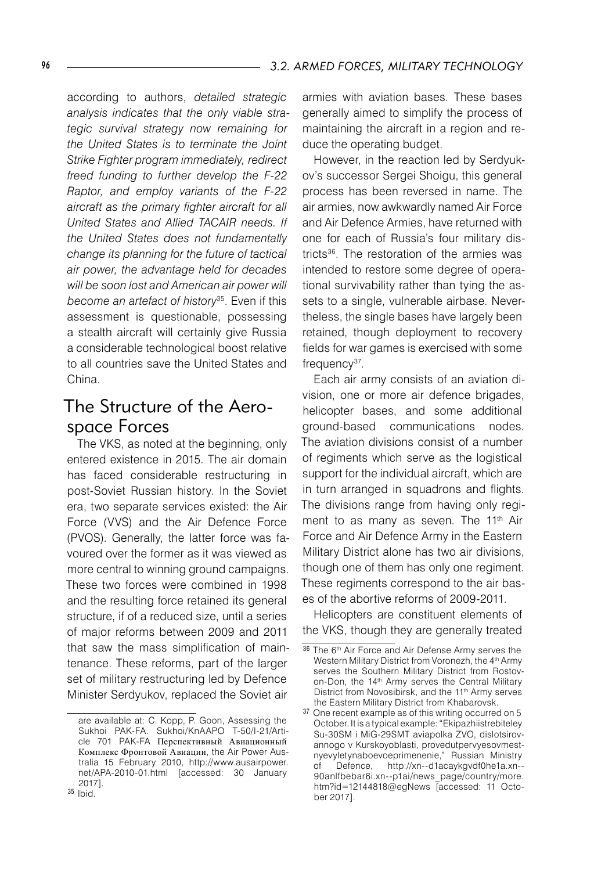according to authors, *detailed strategic analysis indicates that the only viable strategic survival strategy now remaining for the United States is to terminate the Joint Strike Fighter program immediately, redirect freed funding to further develop the F-22 Raptor, and employ variants of the F-22 aircraft as the primary fighter aircraft for all United States and Allied TACAIR needs. If the United States does not fundamentally change its planning for the future of tactical air power, the advantage held for decades will be soon lost and American air power will become an artefact of history*35. Even if this assessment is questionable, possessing a stealth aircraft will certainly give Russia a considerable technological boost relative to all countries save the United States and China.

## The Structure of the Aerospace Forces

The VKS, as noted at the beginning, only entered existence in 2015. The air domain has faced considerable restructuring in post-Soviet Russian history. In the Soviet era, two separate services existed: the Air Force (VVS) and the Air Defence Force (PVOS). Generally, the latter force was favoured over the former as it was viewed as more central to winning ground campaigns. These two forces were combined in 1998 and the resulting force retained its general structure, if of a reduced size, until a series of major reforms between 2009 and 2011 that saw the mass simplification of maintenance. These reforms, part of the larger set of military restructuring led by Defence Minister Serdyukov, replaced the Soviet air

armies with aviation bases. These bases generally aimed to simplify the process of maintaining the aircraft in a region and reduce the operating budget.

However, in the reaction led by Serdyukov's successor Sergei Shoigu, this general process has been reversed in name. The air armies, now awkwardly named Air Force and Air Defence Armies, have returned with one for each of Russia's four military districts36 . The restoration of the armies was intended to restore some degree of operational survivability rather than tying the assets to a single, vulnerable airbase. Nevertheless, the single bases have largely been retained, though deployment to recovery fields for war games is exercised with some frequency<sup>37</sup>.

Each air army consists of an aviation division, one or more air defence brigades, helicopter bases, and some additional ground-based communications nodes. The aviation divisions consist of a number of regiments which serve as the logistical support for the individual aircraft, which are in turn arranged in squadrons and flights. The divisions range from having only regiment to as many as seven. The 11<sup>th</sup> Air Force and Air Defence Army in the Eastern Military District alone has two air divisions, though one of them has only one regiment. These regiments correspond to the air bases of the abortive reforms of 2009-2011.

Helicopters are constituent elements of the VKS, though they are generally treated

are available at: C. Kopp, P. Goon, Assessing the Sukhoi PAK-FA. Sukhoi/KnAAPO T-50/I-21/Article 701 PAK-FA Перспективный Авиационный Комплекс Фронтовой Авиации, the Air Power Australia 15 February 2010, http://www.ausairpower. net/APA-2010-01.html [accessed: 30 January 2017]. <sup>35</sup> Ibid.

<sup>36</sup> The 6<sup>th</sup> Air Force and Air Defense Army serves the Western Military District from Voronezh, the 4<sup>th</sup> Army serves the Southern Military District from Rostovon-Don, the 14<sup>th</sup> Army serves the Central Military District from Novosibirsk, and the 11<sup>th</sup> Army serves the Eastern Military District from Khabarovsk.

<sup>37</sup> One recent example as of this writing occurred on 5 October. It is a typical example: "Ekipazhiistrebiteley Su-30SM i MiG-29SMT aviapolka ZVO, dislotsirovannogo v Kurskoyoblasti, provedutpervyesovmestnyevyletynaboevoeprimenenie," Russian Ministry of Defence, http://xn--d1acaykgvdf0he1a.xn-- 90anlfbebar6i.xn--p1ai/news\_page/country/more. htm?id=12144818@egNews [accessed: 11 October 2017].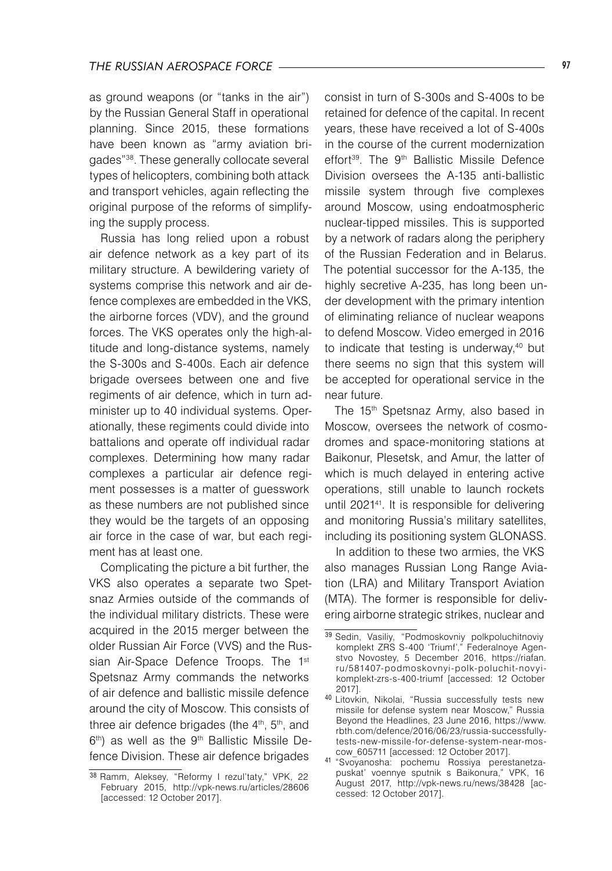as ground weapons (or "tanks in the air") by the Russian General Staff in operational planning. Since 2015, these formations have been known as "army aviation brigades"38. These generally collocate several types of helicopters, combining both attack and transport vehicles, again reflecting the original purpose of the reforms of simplifying the supply process.

Russia has long relied upon a robust air defence network as a key part of its military structure. A bewildering variety of systems comprise this network and air defence complexes are embedded in the VKS, the airborne forces (VDV), and the ground forces. The VKS operates only the high-altitude and long-distance systems, namely the S-300s and S-400s. Each air defence brigade oversees between one and five regiments of air defence, which in turn administer up to 40 individual systems. Operationally, these regiments could divide into battalions and operate off individual radar complexes. Determining how many radar complexes a particular air defence regiment possesses is a matter of guesswork as these numbers are not published since they would be the targets of an opposing air force in the case of war, but each regiment has at least one.

Complicating the picture a bit further, the VKS also operates a separate two Spetsnaz Armies outside of the commands of the individual military districts. These were acquired in the 2015 merger between the older Russian Air Force (VVS) and the Russian Air-Space Defence Troops. The 1<sup>st</sup> Spetsnaz Army commands the networks of air defence and ballistic missile defence around the city of Moscow. This consists of three air defence brigades (the 4<sup>th</sup>, 5<sup>th</sup>, and 6th) as well as the 9th Ballistic Missile Defence Division. These air defence brigades

consist in turn of S-300s and S-400s to be retained for defence of the capital. In recent years, these have received a lot of S-400s in the course of the current modernization effort<sup>39</sup>. The 9<sup>th</sup> Ballistic Missile Defence Division oversees the A-135 anti-ballistic missile system through five complexes around Moscow, using endoatmospheric nuclear-tipped missiles. This is supported by a network of radars along the periphery of the Russian Federation and in Belarus. The potential successor for the A-135, the highly secretive A-235, has long been under development with the primary intention of eliminating reliance of nuclear weapons to defend Moscow. Video emerged in 2016 to indicate that testing is underway,<sup>40</sup> but there seems no sign that this system will be accepted for operational service in the near future.

The 15<sup>th</sup> Spetsnaz Army, also based in Moscow, oversees the network of cosmodromes and space-monitoring stations at Baikonur, Plesetsk, and Amur, the latter of which is much delayed in entering active operations, still unable to launch rockets until 2021<sup>41</sup>. It is responsible for delivering and monitoring Russia's military satellites, including its positioning system GLONASS.

In addition to these two armies, the VKS also manages Russian Long Range Aviation (LRA) and Military Transport Aviation (MTA). The former is responsible for delivering airborne strategic strikes, nuclear and

<sup>38</sup> Ramm, Aleksey, "Reformy I rezul'taty," VPK, 22 February 2015, http://vpk-news.ru/articles/28606 [accessed: 12 October 2017].

<sup>39</sup> Sedin, Vasiliy, "Podmoskovniy polkpoluchitnoviy komplekt ZRS S-400 'Triumf'," Federalnoye Agenstvo Novostey, 5 December 2016, https://riafan. ru/581407-podmoskovnyi-polk-poluchit-novyikomplekt-zrs-s-400-triumf [accessed: 12 October 2017].

<sup>40</sup> Litovkin, Nikolai, "Russia successfully tests new missile for defense system near Moscow," Russia Beyond the Headlines, 23 June 2016, https://www. rbth.com/defence/2016/06/23/russia-successfullytests-new-missile-for-defense-system-near-moscow\_605711 [accessed: 12 October 2017].

<sup>41</sup> "Svoyanosha: pochemu Rossiya perestanetzapuskat' voennye sputnik s Baikonura," VPK, 16 August 2017, http://vpk-news.ru/news/38428 [accessed: 12 October 2017].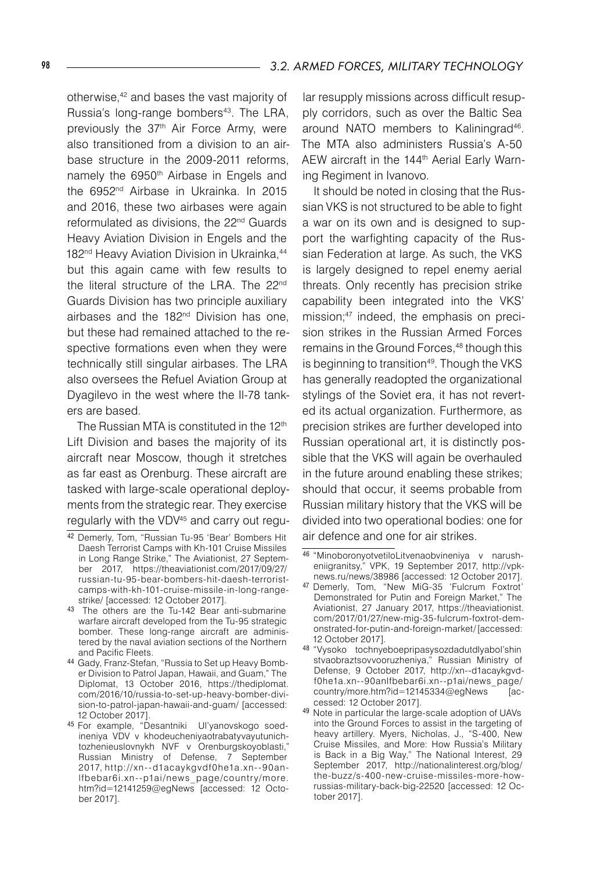otherwise,<sup>42</sup> and bases the vast majority of Russia's long-range bombers<sup>43</sup>. The LRA, previously the 37<sup>th</sup> Air Force Army, were also transitioned from a division to an airbase structure in the 2009-2011 reforms, namely the 6950<sup>th</sup> Airbase in Engels and the 6952<sup>nd</sup> Airbase in Ukrainka. In 2015 and 2016, these two airbases were again reformulated as divisions, the 22<sup>nd</sup> Guards Heavy Aviation Division in Engels and the 182<sup>nd</sup> Heavy Aviation Division in Ukrainka,<sup>44</sup> but this again came with few results to the literal structure of the LRA. The 22<sup>nd</sup> Guards Division has two principle auxiliary airbases and the 182<sup>nd</sup> Division has one. but these had remained attached to the respective formations even when they were technically still singular airbases. The LRA also oversees the Refuel Aviation Group at Dyagilevo in the west where the Il-78 tankers are based.

The Russian MTA is constituted in the 12<sup>th</sup> Lift Division and bases the majority of its aircraft near Moscow, though it stretches as far east as Orenburg. These aircraft are tasked with large-scale operational deployments from the strategic rear. They exercise regularly with the VDV45 and carry out regu-

lar resupply missions across difficult resupply corridors, such as over the Baltic Sea around NATO members to Kaliningrad46 . The MTA also administers Russia's A-50 AEW aircraft in the 144<sup>th</sup> Aerial Early Warning Regiment in Ivanovo.

It should be noted in closing that the Russian VKS is not structured to be able to fight a war on its own and is designed to support the warfighting capacity of the Russian Federation at large. As such, the VKS is largely designed to repel enemy aerial threats. Only recently has precision strike capability been integrated into the VKS' mission;47 indeed, the emphasis on precision strikes in the Russian Armed Forces remains in the Ground Forces,<sup>48</sup> though this is beginning to transition<sup>49</sup>. Though the VKS has generally readopted the organizational stylings of the Soviet era, it has not reverted its actual organization. Furthermore, as precision strikes are further developed into Russian operational art, it is distinctly possible that the VKS will again be overhauled in the future around enabling these strikes; should that occur, it seems probable from Russian military history that the VKS will be divided into two operational bodies: one for air defence and one for air strikes.

<sup>42</sup> Demerly, Tom, "Russian Tu-95 'Bear' Bombers Hit Daesh Terrorist Camps with Kh-101 Cruise Missiles in Long Range Strike," The Aviationist, 27 September 2017, https://theaviationist.com/2017/09/27/ russian-tu-95-bear-bombers-hit-daesh-terroristcamps-with-kh-101-cruise-missile-in-long-rangestrike/ [accessed: 12 October 2017].

<sup>43</sup> The others are the Tu-142 Bear anti-submarine warfare aircraft developed from the Tu-95 strategic bomber. These long-range aircraft are administered by the naval aviation sections of the Northern and Pacific Fleets.

<sup>44</sup> Gady, Franz-Stefan, "Russia to Set up Heavy Bomber Division to Patrol Japan, Hawaii, and Guam," The Diplomat, 13 October 2016, https://thediplomat. com/2016/10/russia-to-set-up-heavy-bomber-division-to-patrol-japan-hawaii-and-guam/ [accessed: 12 October 2017].

<sup>45</sup> For example, "Desantniki Ul'yanovskogo soedineniya VDV v khodeucheniyaotrabatyvayutunichtozhenieuslovnykh NVF v Orenburgskoyoblasti," Russian Ministry of Defense, 7 September 2017, http://xn--d1acaykgvdf0he1a.xn--90anlfbebar6i.xn--p1ai/news\_ page/countr y/more. htm?id=12141259@egNews [accessed: 12 October 2017].

<sup>46</sup> "MinoboronyotvetiloLitvenaobvineniya v narusheniigranitsy," VPK, 19 September 2017, http://vpknews.ru/news/38986 [accessed: 12 October 2017].

<sup>47</sup> Demerly, Tom, "New MiG-35 'Fulcrum Foxtrot' Demonstrated for Putin and Foreign Market," The Aviationist, 27 January 2017, https://theaviationist. com/2017/01/27/new-mig-35-fulcrum-foxtrot-demonstrated-for-putin-and-foreign-market/ [accessed: 12 October 2017].

<sup>48</sup> "Vysoko tochnyeboepripasysozdadutdlyabol'shin stvaobraztsovvooruzheniya," Russian Ministry of Defense, 9 October 2017, http://xn--d1acaykgvdf0he1a.xn--90anlfbebar6i.xn--p1ai/news\_page/ country/more.htm?id=12145334@egNews cessed: 12 October 2017].

<sup>49</sup> Note in particular the large-scale adoption of UAVs into the Ground Forces to assist in the targeting of heavy artillery. Myers, Nicholas, J., "S-400, New Cruise Missiles, and More: How Russia's Military is Back in a Big Way," The National Interest, 29 September 2017, http://nationalinterest.org/blog/ the-buzz/s-400-new-cruise-missiles-more-howrussias-military-back-big-22520 [accessed: 12 October 2017].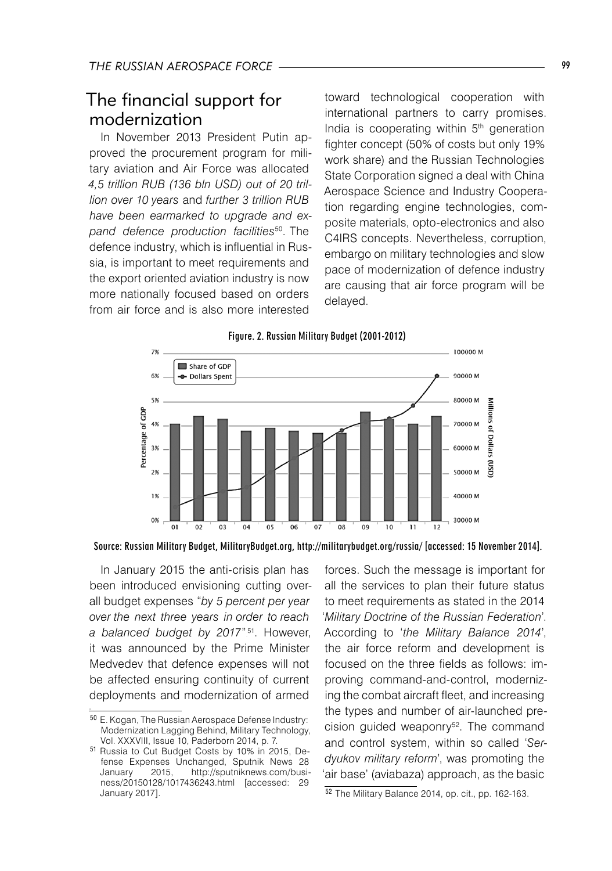## The financial support for modernization

In November 2013 President Putin approved the procurement program for military aviation and Air Force was allocated *4,5 trillion RUB (136 bln USD) out of 20 trillion over 10 years* and *further 3 trillion RUB have been earmarked to upgrade and expand defence production facilities*50. The defence industry, which is influential in Russia, is important to meet requirements and the export oriented aviation industry is now more nationally focused based on orders from air force and is also more interested

toward technological cooperation with international partners to carry promises. India is cooperating within 5<sup>th</sup> generation fighter concept (50% of costs but only 19% work share) and the Russian Technologies State Corporation signed a deal with China Aerospace Science and Industry Cooperation regarding engine technologies, composite materials, opto-electronics and also C4IRS concepts. Nevertheless, corruption, embargo on military technologies and slow pace of modernization of defence industry are causing that air force program will be delayed.





In January 2015 the anti-crisis plan has been introduced envisioning cutting overall budget expenses "*by 5 percent per year over the next three years in order to reach*  a balanced budget by 2017".<sup>51</sup>. However, it was announced by the Prime Minister Medvedev that defence expenses will not be affected ensuring continuity of current deployments and modernization of armed

forces. Such the message is important for all the services to plan their future status to meet requirements as stated in the 2014 '*Military Doctrine of the Russian Federation*'. According to '*the Military Balance 2014*', the air force reform and development is focused on the three fields as follows: improving command-and-control, modernizing the combat aircraft fleet, and increasing the types and number of air-launched precision guided weaponry<sup>52</sup>. The command and control system, within so called '*Serdyukov military reform*', was promoting the 'air base' (aviabaza) approach, as the basic

<sup>50</sup> E. Kogan, The Russian Aerospace Defense Industry: Modernization Lagging Behind, Military Technology, Vol. XXXVIII, Issue 10, Paderborn 2014, p. 7.

<sup>51</sup> Russia to Cut Budget Costs by 10% in 2015, Defense Expenses Unchanged, Sputnik News 28<br>January 2015, http://sputniknews.com/busi-January 2015, http://sputniknews.com/business/20150128/1017436243.html [accessed: 29 January 2017].

<sup>52</sup> The Military Balance 2014, op. cit., pp. 162-163.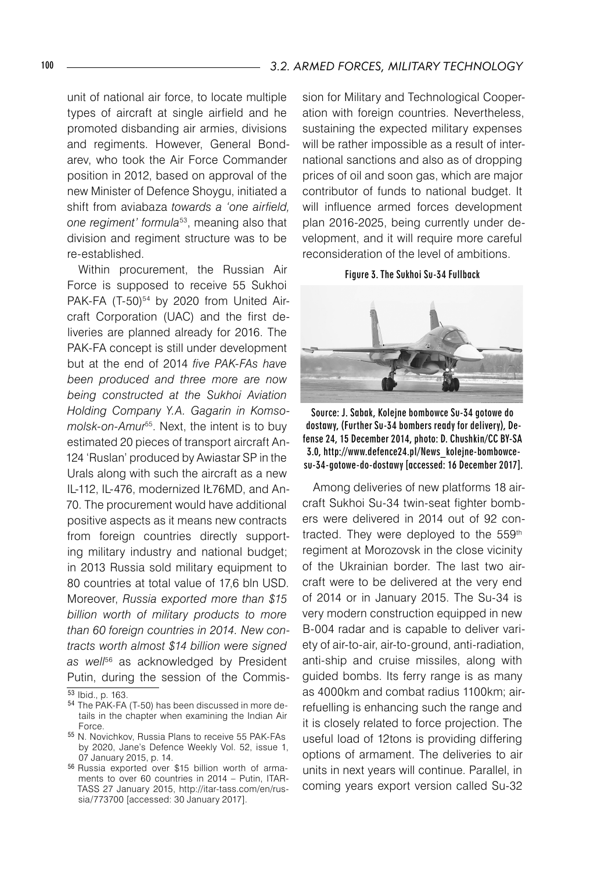unit of national air force, to locate multiple types of aircraft at single airfield and he promoted disbanding air armies, divisions and regiments. However, General Bondarev, who took the Air Force Commander position in 2012, based on approval of the new Minister of Defence Shoygu, initiated a shift from aviabaza *towards a 'one airfield, one regiment' formula*53, meaning also that division and regiment structure was to be re-established.

Within procurement, the Russian Air Force is supposed to receive 55 Sukhoi PAK-FA (T-50)<sup>54</sup> by 2020 from United Aircraft Corporation (UAC) and the first deliveries are planned already for 2016. The PAK-FA concept is still under development but at the end of 2014 *five PAK-FAs have been produced and three more are now being constructed at the Sukhoi Aviation Holding Company Y.A. Gagarin in Komsomolsk-on-Amur*55. Next, the intent is to buy estimated 20 pieces of transport aircraft An-124 'Ruslan' produced by Awiastar SP in the Urals along with such the aircraft as a new IL-112, IL-476, modernized IŁ76MD, and An-70. The procurement would have additional positive aspects as it means new contracts from foreign countries directly supporting military industry and national budget; in 2013 Russia sold military equipment to 80 countries at total value of 17,6 bln USD. Moreover, *Russia exported more than \$15 billion worth of military products to more than 60 foreign countries in 2014. New contracts worth almost \$14 billion were signed as well*<sup>56</sup> as acknowledged by President Putin, during the session of the Commission for Military and Technological Cooperation with foreign countries. Nevertheless, sustaining the expected military expenses will be rather impossible as a result of international sanctions and also as of dropping prices of oil and soon gas, which are major contributor of funds to national budget. It will influence armed forces development plan 2016-2025, being currently under development, and it will require more careful reconsideration of the level of ambitions.

Figure 3. The Sukhoi Su-34 Fullback



Source: J. Sabak, Kolejne bombowce Su-34 gotowe do dostawy, (Further Su-34 bombers ready for delivery), Defense 24, 15 December 2014, photo: D. Chushkin/CC BY-SA 3.0, http://www.defence24.pl/News\_kolejne-bombowcesu-34-gotowe-do-dostawy [accessed: 16 December 2017].

Among deliveries of new platforms 18 aircraft Sukhoi Su-34 twin-seat fighter bombers were delivered in 2014 out of 92 contracted. They were deployed to the 559<sup>th</sup> regiment at Morozovsk in the close vicinity of the Ukrainian border. The last two aircraft were to be delivered at the very end of 2014 or in January 2015. The Su-34 is very modern construction equipped in new B-004 radar and is capable to deliver variety of air-to-air, air-to-ground, anti-radiation, anti-ship and cruise missiles, along with guided bombs. Its ferry range is as many as 4000km and combat radius 1100km; airrefuelling is enhancing such the range and it is closely related to force projection. The useful load of 12tons is providing differing options of armament. The deliveries to air units in next years will continue. Parallel, in coming years export version called Su-32

<sup>53</sup> Ibid., p. 163.

<sup>54</sup> The PAK-FA (T-50) has been discussed in more details in the chapter when examining the Indian Air Force.

<sup>55</sup> N. Novichkov, Russia Plans to receive 55 PAK-FAs by 2020, Jane's Defence Weekly Vol. 52, issue 1, 07 January 2015, p. 14.

<sup>56</sup> Russia exported over \$15 billion worth of armaments to over 60 countries in 2014 – Putin, ITAR-TASS 27 January 2015, http://itar-tass.com/en/russia/773700 [accessed: 30 January 2017].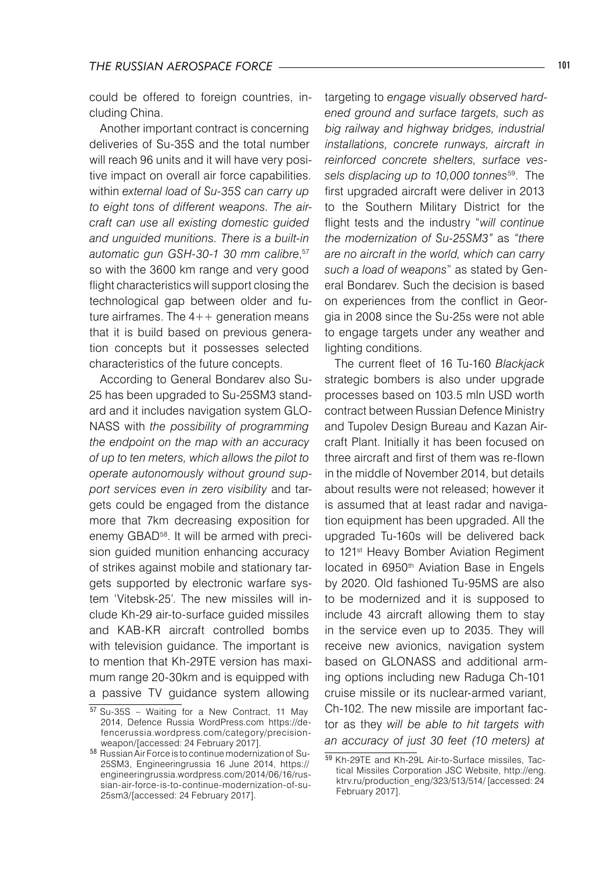could be offered to foreign countries, including China.

Another important contract is concerning deliveries of Su-35S and the total number will reach 96 units and it will have very positive impact on overall air force capabilities. within *external load of Su-35S can carry up to eight tons of different weapons. The aircraft can use all existing domestic guided and unguided munitions. There is a built-in automatic gun GSH-30-1 30 mm calibre*, 57 so with the 3600 km range and very good flight characteristics will support closing the technological gap between older and future airframes. The 4++ generation means that it is build based on previous generation concepts but it possesses selected characteristics of the future concepts.

According to General Bondarev also Su-25 has been upgraded to Su-25SM3 standard and it includes navigation system GLO-NASS with *the possibility of programming the endpoint on the map with an accuracy of up to ten meters, which allows the pilot to operate autonomously without ground support services even in zero visibility* and targets could be engaged from the distance more that 7km decreasing exposition for enemy GBAD<sup>58</sup>. It will be armed with precision guided munition enhancing accuracy of strikes against mobile and stationary targets supported by electronic warfare system 'Vitebsk-25'. The new missiles will include Kh-29 air-to-surface guided missiles and KAB-KR aircraft controlled bombs with television guidance. The important is to mention that Kh-29TE version has maximum range 20-30km and is equipped with a passive TV guidance system allowing

targeting to *engage visually observed hardened ground and surface targets, such as big railway and highway bridges, industrial installations, concrete runways, aircraft in reinforced concrete shelters, surface vessels displacing up to 10,000 tonnes*<sup>59</sup> . The first upgraded aircraft were deliver in 2013 to the Southern Military District for the flight tests and the industry "*will continue the modernization of Su-25SM3"* as *"there are no aircraft in the world, which can carry such a load of weapons*" as stated by General Bondarev. Such the decision is based on experiences from the conflict in Georgia in 2008 since the Su-25s were not able to engage targets under any weather and lighting conditions.

The current fleet of 16 Tu-160 *Blackjack* strategic bombers is also under upgrade processes based on 103.5 mln USD worth contract between Russian Defence Ministry and Tupolev Design Bureau and Kazan Aircraft Plant. Initially it has been focused on three aircraft and first of them was re-flown in the middle of November 2014, but details about results were not released; however it is assumed that at least radar and navigation equipment has been upgraded. All the upgraded Tu-160s will be delivered back to 121<sup>st</sup> Heavy Bomber Aviation Regiment located in 6950<sup>th</sup> Aviation Base in Engels by 2020. Old fashioned Tu-95MS are also to be modernized and it is supposed to include 43 aircraft allowing them to stay in the service even up to 2035. They will receive new avionics, navigation system based on GLONASS and additional arming options including new Raduga Ch-101 cruise missile or its nuclear-armed variant, Ch-102. The new missile are important factor as they *will be able to hit targets with an accuracy of just 30 feet (10 meters) at* 

<sup>57</sup> Su-35S – Waiting for a New Contract, 11 May 2014, Defence Russia WordPress.com https://defencerussia.wordpress.com/category/precisionweapon/[accessed: 24 February 2017].

<sup>58</sup> Russian Air Force is to continue modernization of Su-25SM3, Engineeringrussia 16 June 2014, https:// engineeringrussia.wordpress.com/2014/06/16/russian-air-force-is-to-continue-modernization-of-su-25sm3/[accessed: 24 February 2017].

<sup>59</sup> Kh-29TE and Kh-29L Air-to-Surface missiles, Tactical Missiles Corporation JSC Website, http://eng. ktrv.ru/production\_eng/323/513/514/ [accessed: 24 February 2017].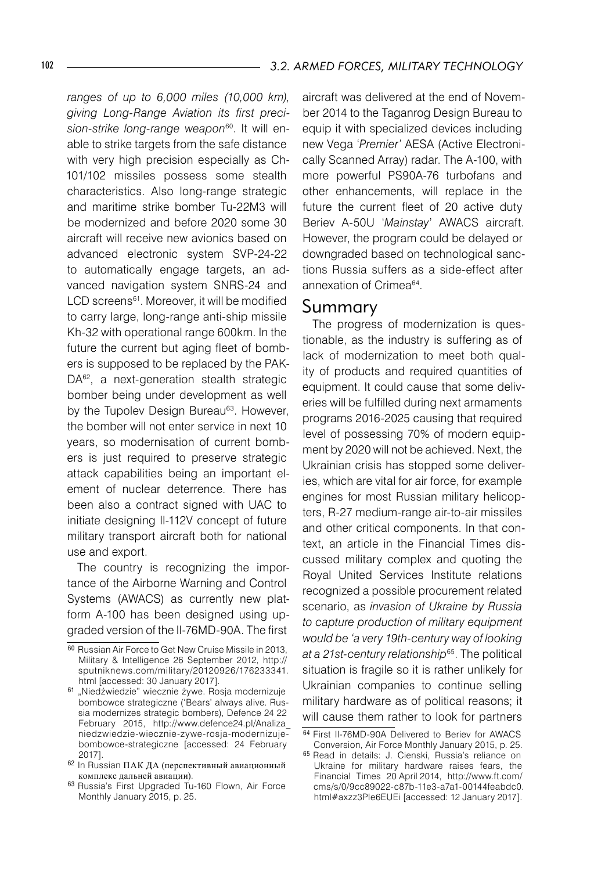*ranges of up to 6,000 miles (10,000 km), giving Long-Range Aviation its first preci*s*ion-strike long-range weapon*"°. It will enable to strike targets from the safe distance with very high precision especially as Ch-101/102 missiles possess some stealth characteristics. Also long-range strategic and maritime strike bomber Tu-22M3 will be modernized and before 2020 some 30 aircraft will receive new avionics based on advanced electronic system SVP-24-22 to automatically engage targets, an advanced navigation system SNRS-24 and LCD screens61 . Moreover, it will be modified to carry large, long-range anti-ship missile Kh-32 with operational range 600km. In the future the current but aging fleet of bombers is supposed to be replaced by the PAK-DA<sup>62</sup>, a next-generation stealth strategic bomber being under development as well by the Tupolev Design Bureau<sup>63</sup>. However, the bomber will not enter service in next 10 years, so modernisation of current bombers is just required to preserve strategic attack capabilities being an important element of nuclear deterrence. There has been also a contract signed with UAC to initiate designing Il-112V concept of future military transport aircraft both for national use and export.

The country is recognizing the importance of the Airborne Warning and Control Systems (AWACS) as currently new platform A-100 has been designed using upgraded version of the Il-76MD-90A. The first

aircraft was delivered at the end of November 2014 to the Taganrog Design Bureau to equip it with specialized devices including new Vega '*Premier'* AESA (Active Electronically Scanned Array) radar. The A-100, with more powerful PS90A-76 turbofans and other enhancements, will replace in the future the current fleet of 20 active duty Beriev A-50U '*Mainstay*' AWACS aircraft. However, the program could be delayed or downgraded based on technological sanctions Russia suffers as a side-effect after annexation of Crimea64 .

#### Summary

The progress of modernization is questionable, as the industry is suffering as of lack of modernization to meet both quality of products and required quantities of equipment. It could cause that some deliveries will be fulfilled during next armaments programs 2016-2025 causing that required level of possessing 70% of modern equipment by 2020 will not be achieved. Next, the Ukrainian crisis has stopped some deliveries, which are vital for air force, for example engines for most Russian military helicopters, R-27 medium-range air-to-air missiles and other critical components. In that context, an article in the Financial Times discussed military complex and quoting the Royal United Services Institute relations recognized a possible procurement related scenario, as *invasion of Ukraine by Russia to capture production of military equipment would be 'a very 19th-century way of looking at a 21st-century relationship*<sup>65</sup> . The political situation is fragile so it is rather unlikely for Ukrainian companies to continue selling military hardware as of political reasons; it will cause them rather to look for partners

<sup>60</sup> Russian Air Force to Get New Cruise Missile in 2013, Military & Intelligence 26 September 2012, http:// sputniknews.com/military/20120926/176233341. html [accessed: 30 January 2017].

<sup>61 &</sup>quot;Niedźwiedzie" wiecznie żywe. Rosja modernizuje bombowce strategiczne ('Bears' always alive. Russia modernizes strategic bombers), Defence 24 22 February 2015, http://www.defence24.pl/Analiza\_ niedzwiedzie-wiecznie-zywe-rosja-modernizujebombowce-strategiczne [accessed: 24 February 2017].

<sup>62</sup> In Russian ПАК ДА (перспективный авиационный комплекс дальней авиации).

<sup>63</sup> Russia's First Upgraded Tu-160 Flown, Air Force Monthly January 2015, p. 25.

<sup>64</sup> First Il-76MD-90A Delivered to Beriev for AWACS Conversion, Air Force Monthly January 2015, p. 25.

<sup>65</sup> Read in details: J. Cienski, Russia's reliance on Ukraine for military hardware raises fears, the Financial Times 20 April 2014, http://www.ft.com/ cms/s/0/9cc89022-c87b-11e3-a7a1-00144feabdc0. html#axzz3PIe6EUEi [accessed: 12 January 2017].